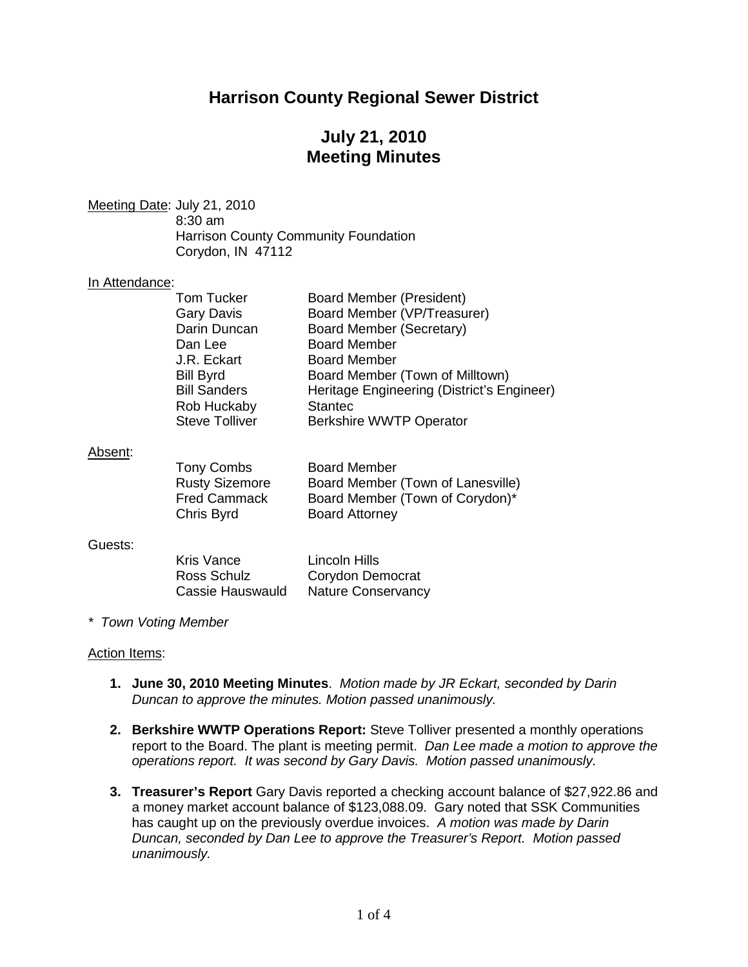# **Harrison County Regional Sewer District**

# **July 21, 2010 Meeting Minutes**

Meeting Date : July 21, 2010 8:30 am Harrison County Community Foundation Corydon, IN 47112

### In Attendance:

| <b>Tom Tucker</b>     | <b>Board Member (President)</b>            |
|-----------------------|--------------------------------------------|
| <b>Gary Davis</b>     | Board Member (VP/Treasurer)                |
| Darin Duncan          | <b>Board Member (Secretary)</b>            |
| Dan Lee               | <b>Board Member</b>                        |
| J.R. Eckart           | <b>Board Member</b>                        |
| <b>Bill Byrd</b>      | Board Member (Town of Milltown)            |
| <b>Bill Sanders</b>   | Heritage Engineering (District's Engineer) |
| Rob Huckaby           | <b>Stantec</b>                             |
| <b>Steve Tolliver</b> | <b>Berkshire WWTP Operator</b>             |
|                       |                                            |

### Absent :

| Tony Combs            | <b>Board Member</b>               |
|-----------------------|-----------------------------------|
| <b>Rusty Sizemore</b> | Board Member (Town of Lanesville) |
| <b>Fred Cammack</b>   | Board Member (Town of Corydon)*   |
| Chris Byrd            | <b>Board Attorney</b>             |

#### Guests:

| Kris Vance       | Lincoln Hills             |
|------------------|---------------------------|
| Ross Schulz      | Corydon Democrat          |
| Cassie Hauswauld | <b>Nature Conservancy</b> |

### *\* Town Voting Member*

### Action Items:

- **1. June 30, 2010 Meeting Minutes**. *Motion made by JR Eckart, seconded by Darin Duncan to approve the minutes. Motion passed unanimously.*
- **2. Berkshire WWTP Operations Report:** Steve Tolliver presented a monthly operations report to the Board. The plant is meeting permit. *Dan Lee made a motion to approve the operations report. It was second by Gary Davis. Motion passed unanimously.*
- **3. Treasurer's Report** Gary Davis reported a checking account balance of \$27,922.86 and a money market account balance of \$123,088.09. Gary noted that SSK Communities has caught up on the previously overdue invoices. *A motion was made by Darin Duncan, seconded by Dan Lee to approve the Treasurer's Report. Motion passed unanimously.*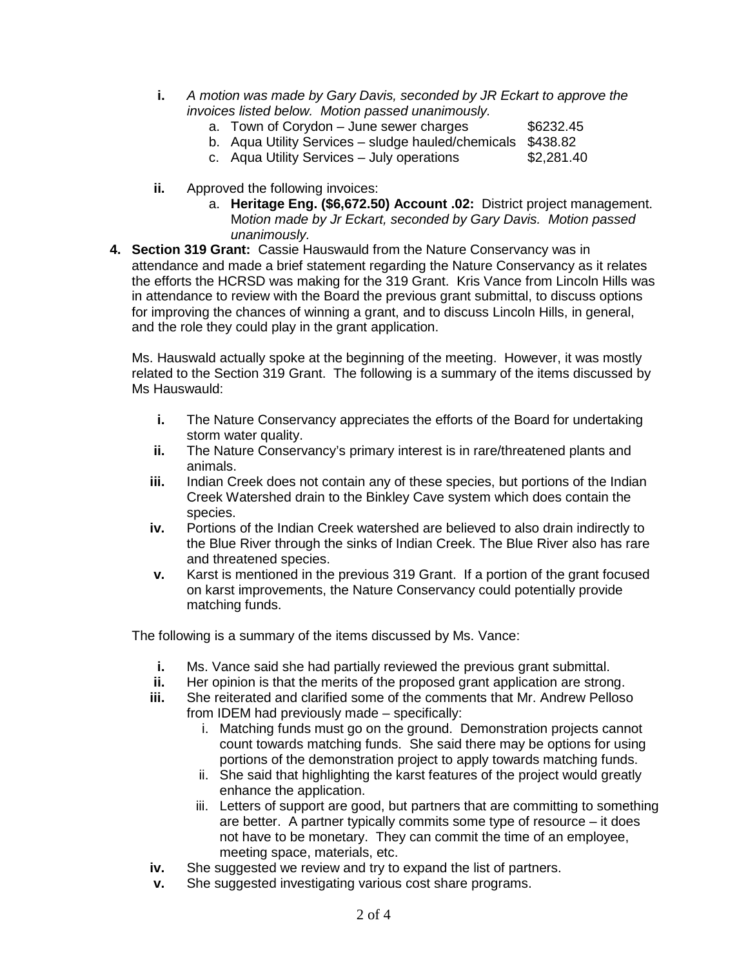- **i.** *A motion was made by Gary Davis, seconded by JR Eckart to approve the invoices listed below. Motion passed unanimously.*
	- a. Town of Corydon June sewer charges  $$6232.45$
	- b. Aqua Utility Services sludge hauled/chemicals \$438.82
	- c. Aqua Utility Services July operations \$2,281.40
- **ii.** Approved the following invoices:
	- a. **Heritage Eng. (\$6,672.50) Account .02:** District project management. M*otion made by Jr Eckart, seconded by Gary Davis. Motion passed unanimously.*
- **4. Section 319 Grant:** Cassie Hauswauld from the Nature Conservancy was in attendance and made a brief statement regarding the Nature Conservancy as it relates the efforts the HCRSD was making for the 319 Grant. Kris Vance from Lincoln Hills was in attendance to review with the Board the previous grant submittal, to discuss options for improving the chances of winning a grant, and to discuss Lincoln Hills, in general, and the role they could play in the grant application.

Ms. Hauswald actually spoke at the beginning of the meeting. However, it was mostly related to the Section 319 Grant. The following is a summary of the items discussed by Ms Hauswauld:

- **i.** The Nature Conservancy appreciates the efforts of the Board for undertaking storm water quality.
- **ii.** The Nature Conservancy's primary interest is in rare/threatened plants and animals.
- **iii.** Indian Creek does not contain any of these species, but portions of the Indian Creek Watershed drain to the Binkley Cave system which does contain the species.
- **iv.** Portions of the Indian Creek watershed are believed to also drain indirectly to the Blue River through the sinks of Indian Creek. The Blue River also has rare and threatened species.
- **v.** Karst is mentioned in the previous 319 Grant. If a portion of the grant focused on karst improvements, the Nature Conservancy could potentially provide matching funds.

The following is a summary of the items discussed by Ms. Vance:

- **i.** Ms. Vance said she had partially reviewed the previous grant submittal.<br>**ii.** Her opinion is that the merits of the proposed grant application are stron
- **ii.** Her opinion is that the merits of the proposed grant application are strong.<br>**iii.** She reiterated and clarified some of the comments that Mr. Andrew Pellose
- **iii.** She reiterated and clarified some of the comments that Mr. Andrew Pelloso from IDEM had previously made – specifically:
	- i. Matching funds must go on the ground. Demonstration projects cannot count towards matching funds. She said there may be options for using portions of the demonstration project to apply towards matching funds.
	- ii. She said that highlighting the karst features of the project would greatly enhance the application.
	- iii. Letters of support are good, but partners that are committing to something are better. A partner typically commits some type of resource – it does not have to be monetary. They can commit the time of an employee, meeting space, materials, etc.
- **iv.** She suggested we review and try to expand the list of partners.
- **v.** She suggested investigating various cost share programs.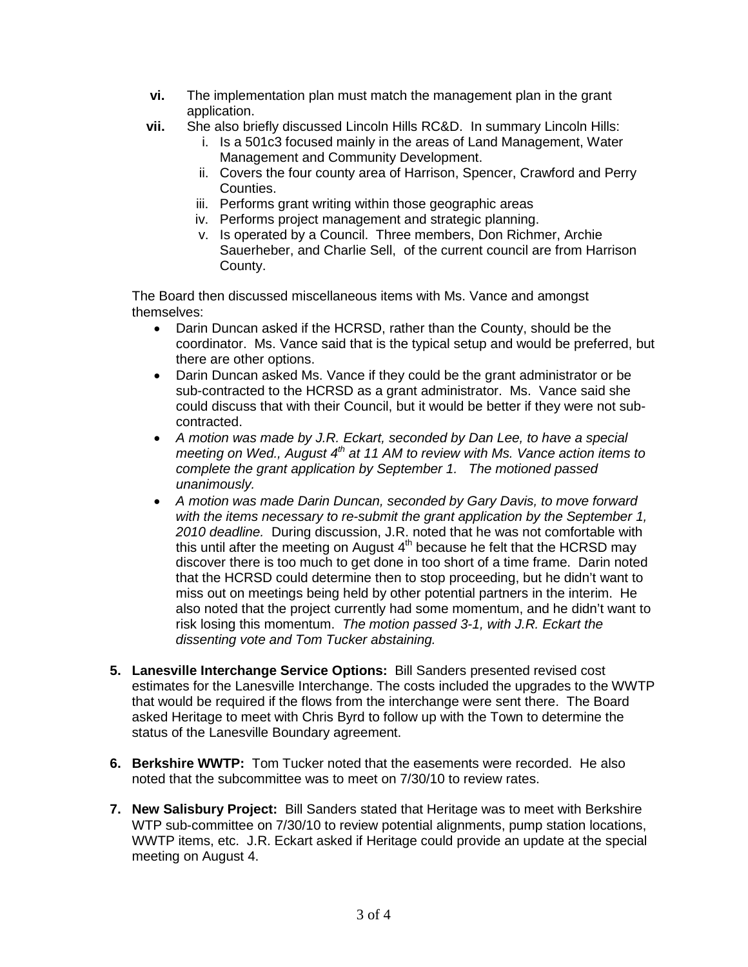- **vi.** The implementation plan must match the management plan in the grant application.
- **vii.** She also briefly discussed Lincoln Hills RC&D. In summary Lincoln Hills:
	- i. Is a 501c3 focused mainly in the areas of Land Management, Water Management and Community Development.
	- ii. Covers the four county area of Harrison, Spencer, Crawford and Perry Counties.
	- iii. Performs grant writing within those geographic areas
	- iv. Performs project management and strategic planning.
	- v. Is operated by a Council. Three members, Don Richmer, Archie Sauerheber, and Charlie Sell, of the current council are from Harrison County.

The Board then discussed miscellaneous items with Ms. Vance and amongst themselves:

- Darin Duncan asked if the HCRSD, rather than the County, should be the coordinator. Ms. Vance said that is the typical setup and would be preferred, but there are other options.
- Darin Duncan asked Ms. Vance if they could be the grant administrator or be sub-contracted to the HCRSD as a grant administrator. Ms. Vance said she could discuss that with their Council, but it would be better if they were not subcontracted.
- *A motion was made by J.R. Eckart, seconded by Dan Lee, to have a special*  meeting on Wed., August 4<sup>th</sup> at 11 AM to review with Ms. Vance action items to *complete the grant application by September 1. The motioned passed unanimously.*
- *A motion was made Darin Duncan, seconded by Gary Davis, to move forward with the items necessary to re-submit the grant application by the September 1, 2010 deadline.* During discussion, J.R. noted that he was not comfortable with this until after the meeting on August  $4<sup>th</sup>$  because he felt that the HCRSD may discover there is too much to get done in too short of a time frame. Darin noted that the HCRSD could determine then to stop proceeding, but he didn't want to miss out on meetings being held by other potential partners in the interim. He also noted that the project currently had some momentum, and he didn't want to risk losing this momentum. *The motion passed 3-1, with J.R. Eckart the dissenting vote and Tom Tucker abstaining.*
- **5. Lanesville Interchange Service Options:** Bill Sanders presented revised cost estimates for the Lanesville Interchange. The costs included the upgrades to the WWTP that would be required if the flows from the interchange were sent there. The Board asked Heritage to meet with Chris Byrd to follow up with the Town to determine the status of the Lanesville Boundary agreement.
- **6. Berkshire WWTP:** Tom Tucker noted that the easements were recorded. He also noted that the subcommittee was to meet on 7/30/10 to review rates.
- **7. New Salisbury Project:** Bill Sanders stated that Heritage was to meet with Berkshire WTP sub-committee on 7/30/10 to review potential alignments, pump station locations, WWTP items, etc. J.R. Eckart asked if Heritage could provide an update at the special meeting on August 4.